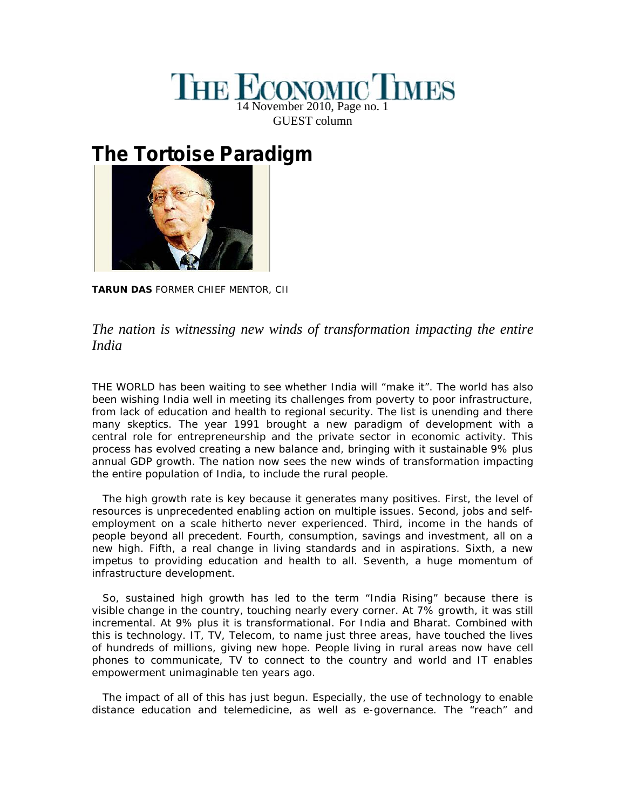## **THE ECONOMIC TIMES** 14 November 2010, Page no. 1 GUEST column

## **The Tortoise Paradigm**



**TARUN DAS** FORMER CHIEF MENTOR, CII

## *The nation is witnessing new winds of transformation impacting the entire India*

THE WORLD has been waiting to see whether India will "make it". The world has also been wishing India well in meeting its challenges from poverty to poor infrastructure, from lack of education and health to regional security. The list is unending and there many skeptics. The year 1991 brought a new paradigm of development with a central role for entrepreneurship and the private sector in economic activity. This process has evolved creating a new balance and, bringing with it sustainable 9% plus annual GDP growth. The nation now sees the new winds of transformation impacting the entire population of India, to include the rural people.

The high growth rate is key because it generates many positives. First, the level of resources is unprecedented enabling action on multiple issues. Second, jobs and self employment on a scale hitherto never experienced. Third, income in the hands of people beyond all precedent. Fourth, consumption, savings and investment, all on a new high. Fifth, a real change in living standards and in aspirations. Sixth, a new impetus to providing education and health to all. Seventh, a huge momentum of infrastructure development.

So, sustained high growth has led to the term "India Rising" because there is visible change in the country, touching nearly every corner. At 7% growth, it was still incremental. At 9% plus it is transformational. For India and Bharat. Combined with this is technology. IT, TV, Telecom, to name just three areas, have touched the lives of hundreds of millions, giving new hope. People living in rural areas now have cell phones to communicate, TV to connect to the country and world and IT enables empowerment unimaginable ten years ago.

The impact of all of this has just begun. Especially, the use of technology to enable distance education and telemedicine, as well as e-governance. The "reach" and